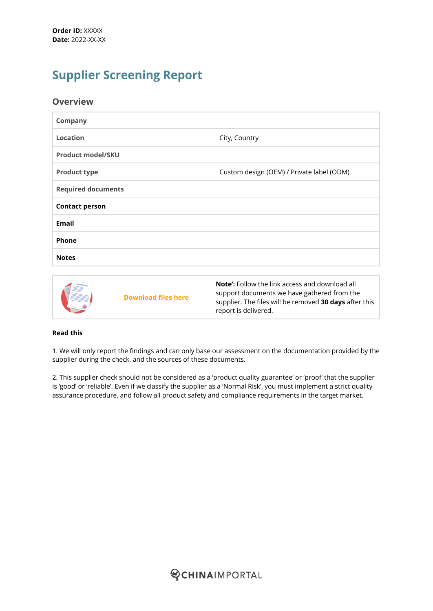# **Supplier Screening Report**

### **Overview**

| <b>Company</b>            |                                           |
|---------------------------|-------------------------------------------|
| <b>Location</b>           | City, Country                             |
| <b>Product model/SKU</b>  |                                           |
| <b>Product type</b>       | Custom design (OEM) / Private label (ODM) |
| <b>Required documents</b> |                                           |
| <b>Contact person</b>     |                                           |
| <b>Email</b>              |                                           |
| Phone                     |                                           |
| <b>Notes</b>              |                                           |
|                           |                                           |
|                           |                                           |



#### **Read this**

1. We will only report the findings and can only base our assessment on the documentation provided by the supplier during the check, and the sources of these documents.

2. This supplier check should not be considered as a 'product quality guarantee' or 'proof' that the supplier is 'good' or 'reliable'. Even if we classify the supplier as a 'Normal Risk', you must implement a strict quality assurance procedure, and follow all product safety and compliance requirements in the target market.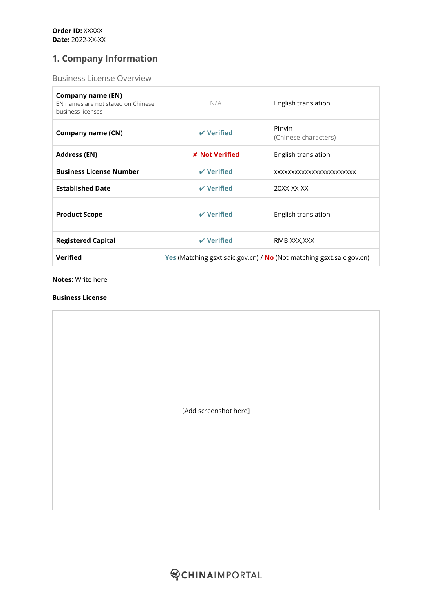## **1. Company Information**

Business License Overview

| Company name (EN)<br>EN names are not stated on Chinese<br>business licenses | N/A                                                                                | English translation            |
|------------------------------------------------------------------------------|------------------------------------------------------------------------------------|--------------------------------|
| <b>Company name (CN)</b>                                                     | $V$ Verified                                                                       | Pinyin<br>(Chinese characters) |
| <b>Address (EN)</b>                                                          | <b>X</b> Not Verified                                                              | English translation            |
| <b>Business License Number</b>                                               | $\boldsymbol{\nu}$ Verified                                                        | XXXXXXXXXXXXXXXXXXXXXXXX       |
| <b>Established Date</b>                                                      | $\boldsymbol{\nu}$ Verified                                                        | 20XX-XX-XX                     |
| <b>Product Scope</b>                                                         | $\boldsymbol{\nu}$ Verified                                                        | English translation            |
| <b>Registered Capital</b>                                                    | $\boldsymbol{\nu}$ Verified                                                        | RMB XXX,XXX                    |
| <b>Verified</b>                                                              | <b>Yes</b> (Matching gsxt.saic.gov.cn) / <b>No</b> (Not matching gsxt.saic.gov.cn) |                                |

**Notes:** Write here

#### **Business License**

|  | [Add screenshot here] |  |
|--|-----------------------|--|
|  |                       |  |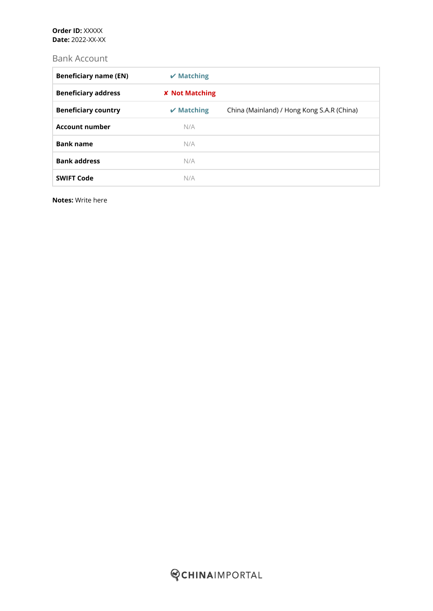#### **Order ID:** XXXXX **Date:** 2022-XX-XX

## Bank Account

| <b>Beneficiary name (EN)</b> | $\boldsymbol{\nu}$ Matching |                                            |
|------------------------------|-----------------------------|--------------------------------------------|
| <b>Beneficiary address</b>   | <b>X</b> Not Matching       |                                            |
| <b>Beneficiary country</b>   | $\boldsymbol{\nu}$ Matching | China (Mainland) / Hong Kong S.A.R (China) |
| <b>Account number</b>        | N/A                         |                                            |
| <b>Bank name</b>             | N/A                         |                                            |
| <b>Bank address</b>          | N/A                         |                                            |
| <b>SWIFT Code</b>            | N/A                         |                                            |

**Notes:** Write here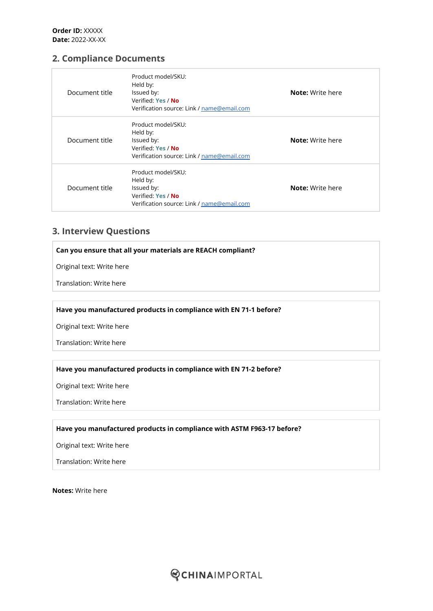## **2. Compliance Documents**

| Document title | Product model/SKU:<br>Held by:<br>Issued by:<br>Verified: Yes / No<br>Verification source: Link / name@email.com | <b>Note:</b> Write here |
|----------------|------------------------------------------------------------------------------------------------------------------|-------------------------|
| Document title | Product model/SKU:<br>Held by:<br>Issued by:<br>Verified: Yes / No<br>Verification source: Link / name@email.com | <b>Note:</b> Write here |
| Document title | Product model/SKU:<br>Held by:<br>Issued by:<br>Verified: Yes / No<br>Verification source: Link / name@email.com | <b>Note:</b> Write here |

## **3. Interview Questions**

**Can you ensure that all your materials are REACH compliant?**

Original text: Write here

Translation: Write here

#### **Have you manufactured products in compliance with EN 71-1 before?**

Original text: Write here

Translation: Write here

#### **Have you manufactured products in compliance with EN 71-2 before?**

Original text: Write here

Translation: Write here

#### **Have you manufactured products in compliance with ASTM F963-17 before?**

Original text: Write here

Translation: Write here

**Notes:** Write here

**QCHINAIMPORTAL**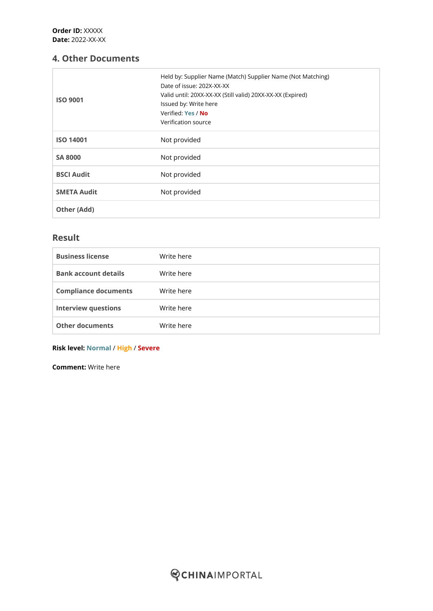## **4. Other Documents**

| <b>ISO 9001</b>    | Held by: Supplier Name (Match) Supplier Name (Not Matching)<br>Date of issue: 202X-XX-XX<br>Valid until: 20XX-XX-XX (Still valid) 20XX-XX-XX (Expired)<br>Issued by: Write here<br>Verified: Yes / No<br>Verification source |
|--------------------|------------------------------------------------------------------------------------------------------------------------------------------------------------------------------------------------------------------------------|
| <b>ISO 14001</b>   | Not provided                                                                                                                                                                                                                 |
| <b>SA 8000</b>     | Not provided                                                                                                                                                                                                                 |
| <b>BSCI Audit</b>  | Not provided                                                                                                                                                                                                                 |
| <b>SMETA Audit</b> | Not provided                                                                                                                                                                                                                 |
| Other (Add)        |                                                                                                                                                                                                                              |

## **Result**

| <b>Business license</b>     | Write here |
|-----------------------------|------------|
| <b>Bank account details</b> | Write here |
| <b>Compliance documents</b> | Write here |
| <b>Interview questions</b>  | Write here |
| <b>Other documents</b>      | Write here |

#### **Risk level: Normal** / **High** / **Severe**

**Comment:** Write here